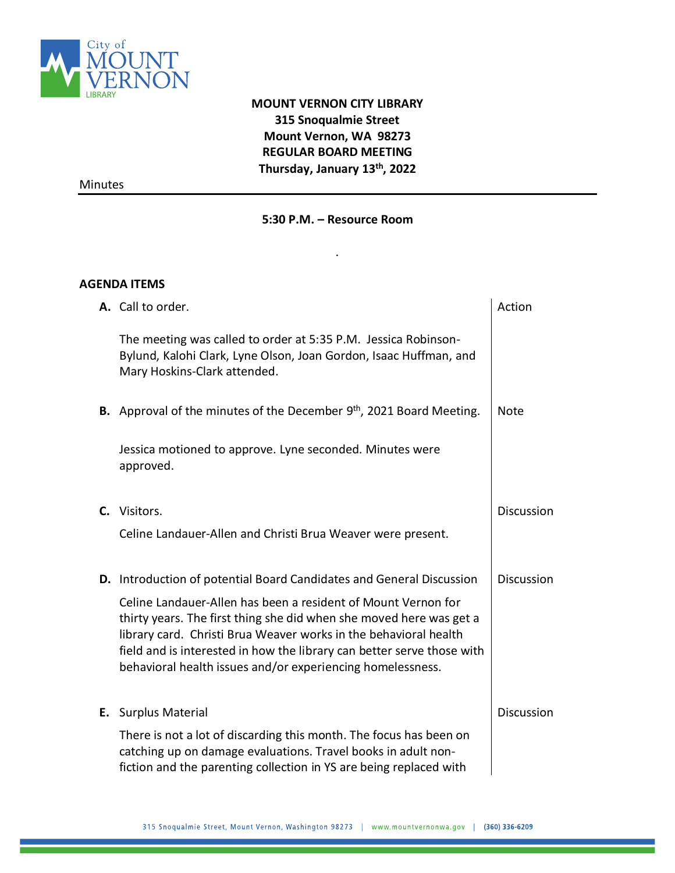

## **MOUNT VERNON CITY LIBRARY 315 Snoqualmie Street Mount Vernon, WA 98273 REGULAR BOARD MEETING Thursday, January 13th, 2022**

Minutes

## **5:30 P.M. – Resource Room**

.

## **AGENDA ITEMS**

| A. Call to order.                                                                                                                                                                                                                                                                                                                                | Action            |
|--------------------------------------------------------------------------------------------------------------------------------------------------------------------------------------------------------------------------------------------------------------------------------------------------------------------------------------------------|-------------------|
| The meeting was called to order at 5:35 P.M. Jessica Robinson-<br>Bylund, Kalohi Clark, Lyne Olson, Joan Gordon, Isaac Huffman, and<br>Mary Hoskins-Clark attended.                                                                                                                                                                              |                   |
| B. Approval of the minutes of the December 9 <sup>th</sup> , 2021 Board Meeting.                                                                                                                                                                                                                                                                 | <b>Note</b>       |
| Jessica motioned to approve. Lyne seconded. Minutes were<br>approved.                                                                                                                                                                                                                                                                            |                   |
| C. Visitors.                                                                                                                                                                                                                                                                                                                                     | <b>Discussion</b> |
| Celine Landauer-Allen and Christi Brua Weaver were present.                                                                                                                                                                                                                                                                                      |                   |
| <b>D.</b> Introduction of potential Board Candidates and General Discussion                                                                                                                                                                                                                                                                      | <b>Discussion</b> |
| Celine Landauer-Allen has been a resident of Mount Vernon for<br>thirty years. The first thing she did when she moved here was get a<br>library card. Christi Brua Weaver works in the behavioral health<br>field and is interested in how the library can better serve those with<br>behavioral health issues and/or experiencing homelessness. |                   |
| E. Surplus Material                                                                                                                                                                                                                                                                                                                              | <b>Discussion</b> |
| There is not a lot of discarding this month. The focus has been on<br>catching up on damage evaluations. Travel books in adult non-<br>fiction and the parenting collection in YS are being replaced with                                                                                                                                        |                   |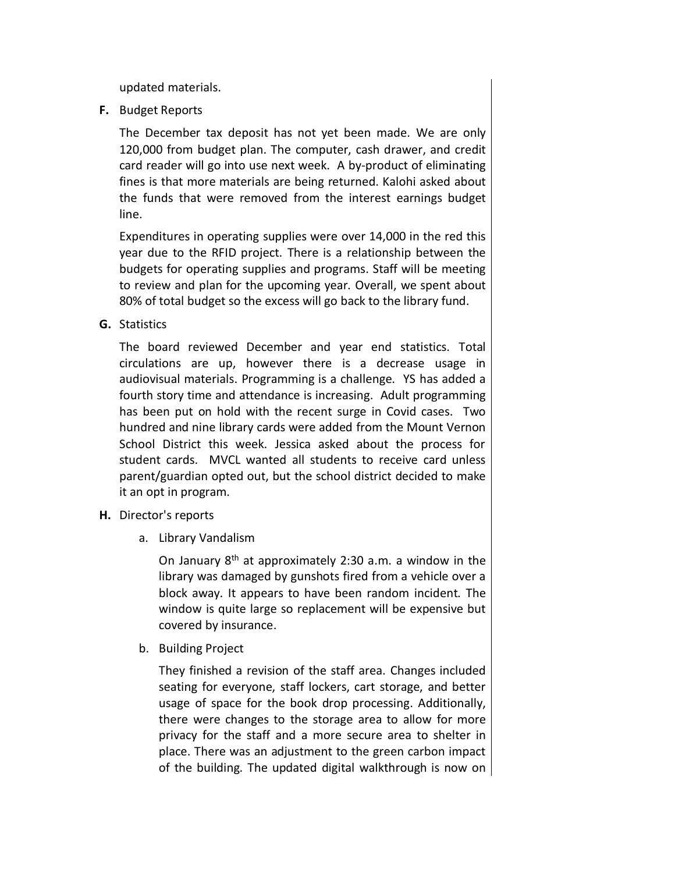updated materials.

**F.** Budget Reports

The December tax deposit has not yet been made. We are only 120,000 from budget plan. The computer, cash drawer, and credit card reader will go into use next week. A by-product of eliminating fines is that more materials are being returned. Kalohi asked about the funds that were removed from the interest earnings budget line.

Expenditures in operating supplies were over 14,000 in the red this year due to the RFID project. There is a relationship between the budgets for operating supplies and programs. Staff will be meeting to review and plan for the upcoming year. Overall, we spent about 80% of total budget so the excess will go back to the library fund.

**G.** Statistics

The board reviewed December and year end statistics. Total circulations are up, however there is a decrease usage in audiovisual materials. Programming is a challenge. YS has added a fourth story time and attendance is increasing. Adult programming has been put on hold with the recent surge in Covid cases. Two hundred and nine library cards were added from the Mount Vernon School District this week. Jessica asked about the process for student cards. MVCL wanted all students to receive card unless parent/guardian opted out, but the school district decided to make it an opt in program.

- **H.** Director's reports
	- a. Library Vandalism

On January 8th at approximately 2:30 a.m. a window in the library was damaged by gunshots fired from a vehicle over a block away. It appears to have been random incident. The window is quite large so replacement will be expensive but covered by insurance.

b. Building Project

They finished a revision of the staff area. Changes included seating for everyone, staff lockers, cart storage, and better usage of space for the book drop processing. Additionally, there were changes to the storage area to allow for more privacy for the staff and a more secure area to shelter in place. There was an adjustment to the green carbon impact of the building. The updated digital walkthrough is now on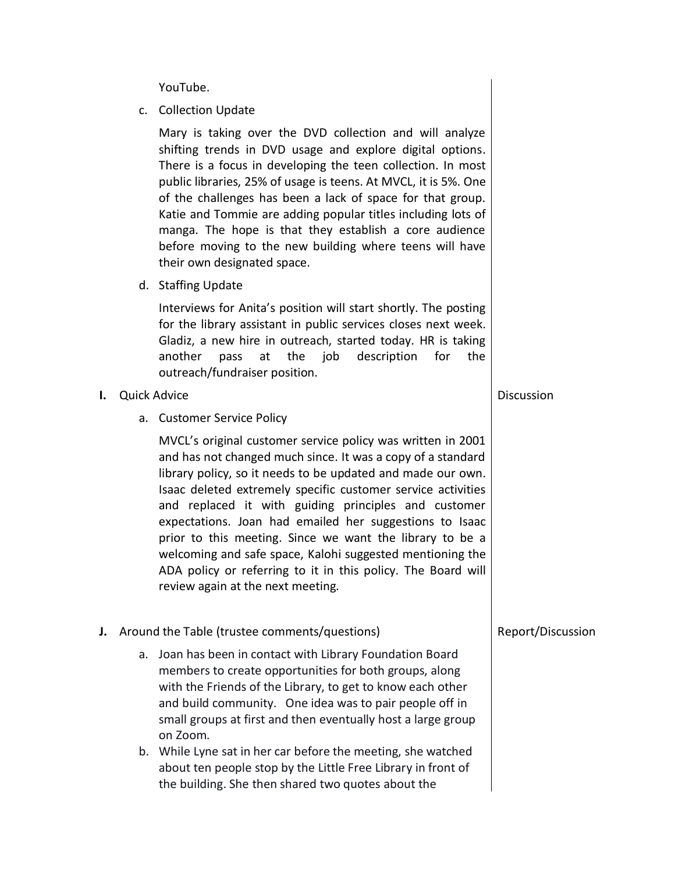YouTube.

c. Collection Update

Mary is taking over the DVD collection and will analyze shifting trends in DVD usage and explore digital options. There is a focus in developing the teen collection. In most public libraries, 25% of usage is teens. At MVCL, it is 5%. One of the challenges has been a lack of space for that group. Katie and Tommie are adding popular titles including lots of manga. The hope is that they establish a core audience before moving to the new building where teens will have their own designated space.

d. Staffing Update

Interviews for Anita's position will start shortly. The posting for the library assistant in public services closes next week. Gladiz, a new hire in outreach, started today. HR is taking another pass at the job description for the outreach/fundraiser position.

- **I.** Quick Advice
	- a. Customer Service Policy

MVCL's original customer service policy was written in 2001 and has not changed much since. It was a copy of a standard library policy, so it needs to be updated and made our own. Isaac deleted extremely specific customer service activities and replaced it with guiding principles and customer expectations. Joan had emailed her suggestions to Isaac prior to this meeting. Since we want the library to be a welcoming and safe space, Kalohi suggested mentioning the ADA policy or referring to it in this policy. The Board will review again at the next meeting.

- **J.** Around the Table (trustee comments/questions)
	- a. Joan has been in contact with Library Foundation Board members to create opportunities for both groups, along with the Friends of the Library, to get to know each other and build community. One idea was to pair people off in small groups at first and then eventually host a large group on Zoom.
	- b. While Lyne sat in her car before the meeting, she watched about ten people stop by the Little Free Library in front of the building. She then shared two quotes about the

Report/Discussion

**Discussion**